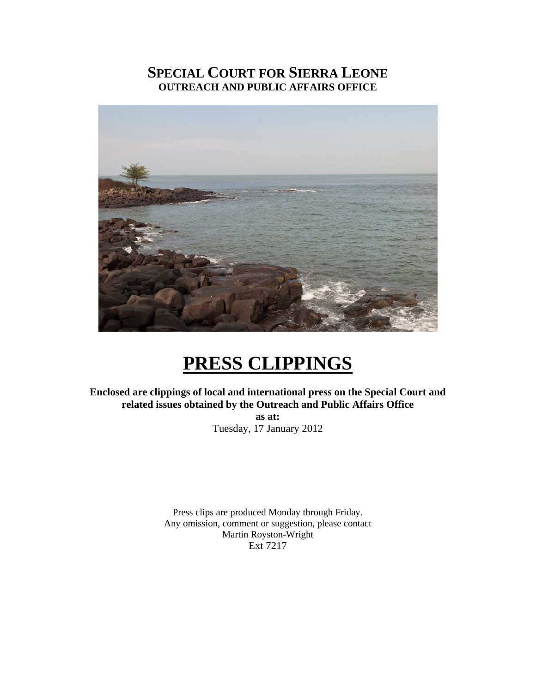## **SPECIAL COURT FOR SIERRA LEONE OUTREACH AND PUBLIC AFFAIRS OFFICE**



# **PRESS CLIPPINGS**

**Enclosed are clippings of local and international press on the Special Court and related issues obtained by the Outreach and Public Affairs Office** 

> **as at:**  Tuesday, 17 January 2012

Press clips are produced Monday through Friday. Any omission, comment or suggestion, please contact Martin Royston-Wright Ext 7217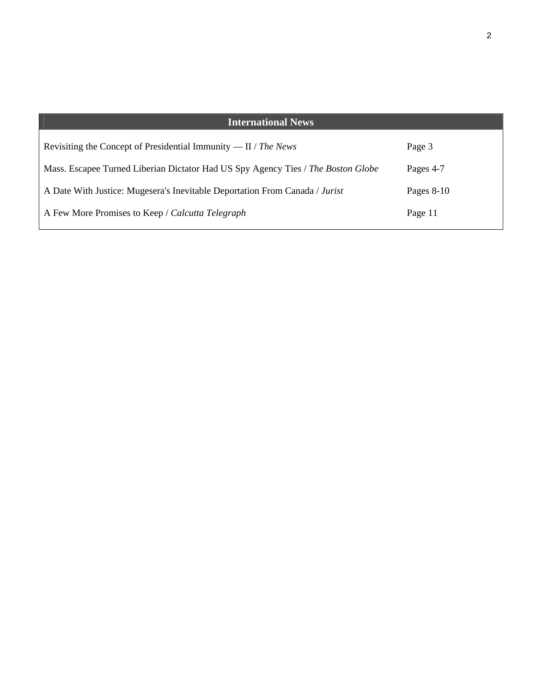| <b>International News</b>                                                        |              |
|----------------------------------------------------------------------------------|--------------|
| Revisiting the Concept of Presidential Immunity — $II / The News$                | Page 3       |
| Mass. Escapee Turned Liberian Dictator Had US Spy Agency Ties / The Boston Globe | Pages 4-7    |
| A Date With Justice: Mugesera's Inevitable Deportation From Canada / Jurist      | Pages $8-10$ |
| A Few More Promises to Keep / Calcutta Telegraph                                 | Page 11      |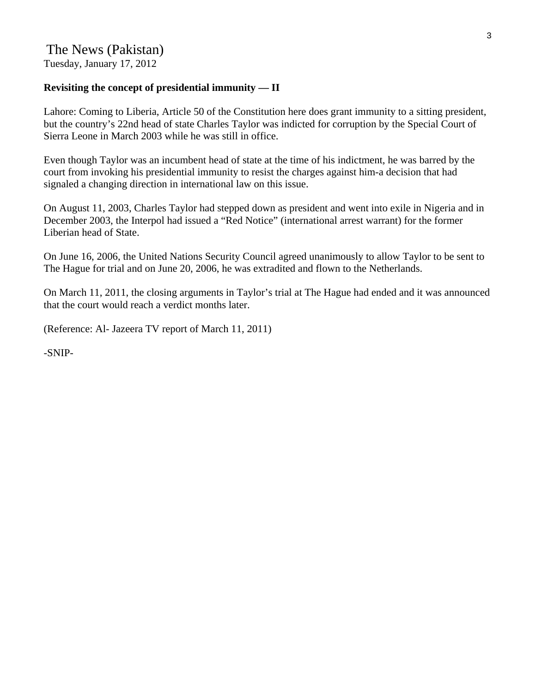# The News (Pakistan)

Tuesday, January 17, 2012

#### **Revisiting the concept of presidential immunity — II**

Lahore: Coming to Liberia, Article 50 of the Constitution here does grant immunity to a sitting president, but the country's 22nd head of state Charles Taylor was indicted for corruption by the Special Court of Sierra Leone in March 2003 while he was still in office.

Even though Taylor was an incumbent head of state at the time of his indictment, he was barred by the court from invoking his presidential immunity to resist the charges against him-a decision that had signaled a changing direction in international law on this issue.

On August 11, 2003, Charles Taylor had stepped down as president and went into exile in Nigeria and in December 2003, the Interpol had issued a "Red Notice" (international arrest warrant) for the former Liberian head of State.

On June 16, 2006, the United Nations Security Council agreed unanimously to allow Taylor to be sent to The Hague for trial and on June 20, 2006, he was extradited and flown to the Netherlands.

On March 11, 2011, the closing arguments in Taylor's trial at The Hague had ended and it was announced that the court would reach a verdict months later.

(Reference: Al- Jazeera TV report of March 11, 2011)

-SNIP-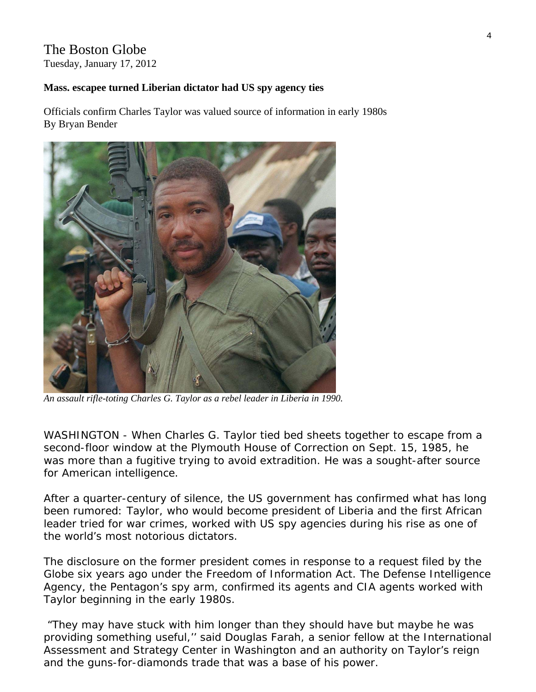# The Boston Globe

Tuesday, January 17, 2012

### **Mass. escapee turned Liberian dictator had US spy agency ties**

Officials confirm Charles Taylor was valued source of information in early 1980s By Bryan Bender



*An assault rifle-toting Charles G. Taylor as a rebel leader in Liberia in 1990.* 

WASHINGTON - When Charles G. Taylor tied bed sheets together to escape from a second-floor window at the Plymouth House of Correction on Sept. 15, 1985, he was more than a fugitive trying to avoid extradition. He was a sought-after source for American intelligence.

After a quarter-century of silence, the US government has confirmed what has long been rumored: Taylor, who would become president of Liberia and the first African leader tried for war crimes, worked with US spy agencies during his rise as one of the world's most notorious dictators.

The disclosure on the former president comes in response to a request filed by the Globe six years ago under the Freedom of Information Act. The Defense Intelligence Agency, the Pentagon's spy arm, confirmed its agents and CIA agents worked with Taylor beginning in the early 1980s.

 "They may have stuck with him longer than they should have but maybe he was providing something useful,'' said Douglas Farah, a senior fellow at the International Assessment and Strategy Center in Washington and an authority on Taylor's reign and the guns-for-diamonds trade that was a base of his power.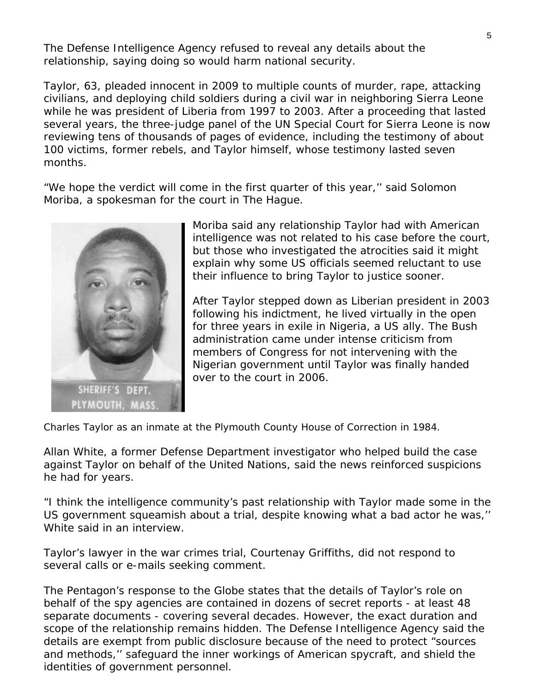The Defense Intelligence Agency refused to reveal any details about the relationship, saying doing so would harm national security.

Taylor, 63, pleaded innocent in 2009 to multiple counts of murder, rape, attacking civilians, and deploying child soldiers during a civil war in neighboring Sierra Leone while he was president of Liberia from 1997 to 2003. After a proceeding that lasted several years, the three-judge panel of the UN Special Court for Sierra Leone is now reviewing tens of thousands of pages of evidence, including the testimony of about 100 victims, former rebels, and Taylor himself, whose testimony lasted seven months.

"We hope the verdict will come in the first quarter of this year,'' said Solomon Moriba, a spokesman for the court in The Hague.



Moriba said any relationship Taylor had with American intelligence was not related to his case before the court, but those who investigated the atrocities said it might explain why some US officials seemed reluctant to use their influence to bring Taylor to justice sooner.

After Taylor stepped down as Liberian president in 2003 following his indictment, he lived virtually in the open for three years in exile in Nigeria, a US ally. The Bush administration came under intense criticism from members of Congress for not intervening with the Nigerian government until Taylor was finally handed over to the court in 2006.

*Charles Taylor as an inmate at the Plymouth County House of Correction in 1984.* 

Allan White, a former Defense Department investigator who helped build the case against Taylor on behalf of the United Nations, said the news reinforced suspicions he had for years.

"I think the intelligence community's past relationship with Taylor made some in the US government squeamish about a trial, despite knowing what a bad actor he was,'' White said in an interview.

Taylor's lawyer in the war crimes trial, Courtenay Griffiths, did not respond to several calls or e-mails seeking comment.

The Pentagon's response to the Globe states that the details of Taylor's role on behalf of the spy agencies are contained in dozens of secret reports - at least 48 separate documents - covering several decades. However, the exact duration and scope of the relationship remains hidden. The Defense Intelligence Agency said the details are exempt from public disclosure because of the need to protect "sources and methods,'' safeguard the inner workings of American spycraft, and shield the identities of government personnel.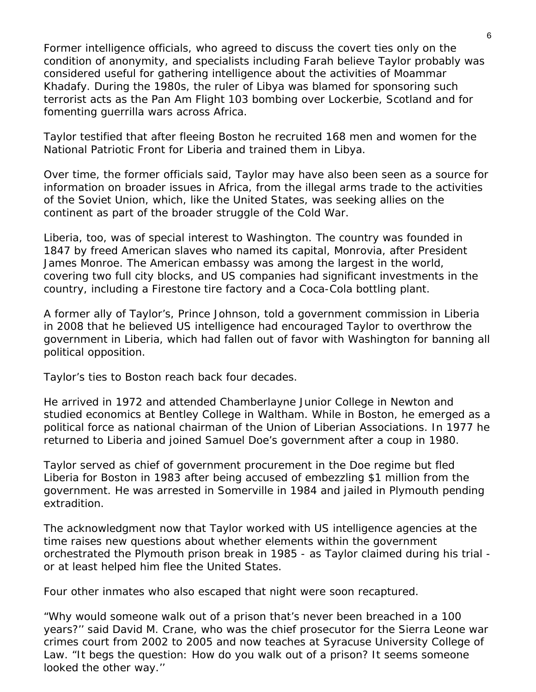Former intelligence officials, who agreed to discuss the covert ties only on the condition of anonymity, and specialists including Farah believe Taylor probably was considered useful for gathering intelligence about the activities of Moammar Khadafy. During the 1980s, the ruler of Libya was blamed for sponsoring such terrorist acts as the Pan Am Flight 103 bombing over Lockerbie, Scotland and for fomenting guerrilla wars across Africa.

Taylor testified that after fleeing Boston he recruited 168 men and women for the National Patriotic Front for Liberia and trained them in Libya.

Over time, the former officials said, Taylor may have also been seen as a source for information on broader issues in Africa, from the illegal arms trade to the activities of the Soviet Union, which, like the United States, was seeking allies on the continent as part of the broader struggle of the Cold War.

Liberia, too, was of special interest to Washington. The country was founded in 1847 by freed American slaves who named its capital, Monrovia, after President James Monroe. The American embassy was among the largest in the world, covering two full city blocks, and US companies had significant investments in the country, including a Firestone tire factory and a Coca-Cola bottling plant.

A former ally of Taylor's, Prince Johnson, told a government commission in Liberia in 2008 that he believed US intelligence had encouraged Taylor to overthrow the government in Liberia, which had fallen out of favor with Washington for banning all political opposition.

Taylor's ties to Boston reach back four decades.

He arrived in 1972 and attended Chamberlayne Junior College in Newton and studied economics at Bentley College in Waltham. While in Boston, he emerged as a political force as national chairman of the Union of Liberian Associations. In 1977 he returned to Liberia and joined Samuel Doe's government after a coup in 1980.

Taylor served as chief of government procurement in the Doe regime but fled Liberia for Boston in 1983 after being accused of embezzling \$1 million from the government. He was arrested in Somerville in 1984 and jailed in Plymouth pending extradition.

The acknowledgment now that Taylor worked with US intelligence agencies at the time raises new questions about whether elements within the government orchestrated the Plymouth prison break in 1985 - as Taylor claimed during his trial or at least helped him flee the United States.

Four other inmates who also escaped that night were soon recaptured.

"Why would someone walk out of a prison that's never been breached in a 100 years?'' said David M. Crane, who was the chief prosecutor for the Sierra Leone war crimes court from 2002 to 2005 and now teaches at Syracuse University College of Law. "It begs the question: How do you walk out of a prison? It seems someone looked the other way.''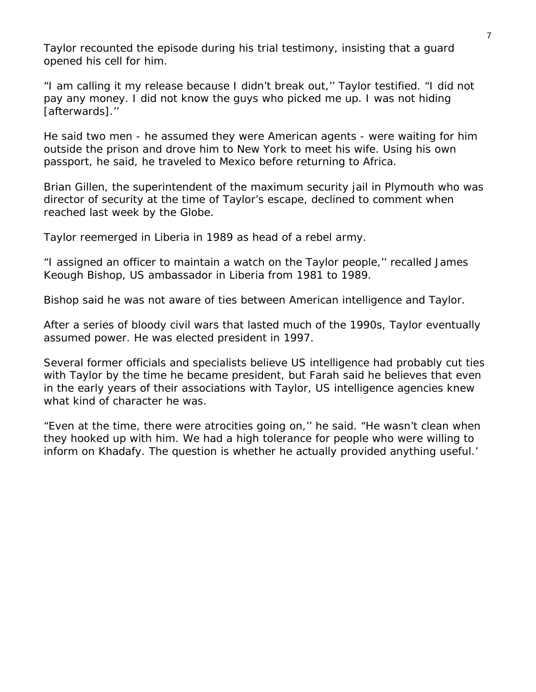Taylor recounted the episode during his trial testimony, insisting that a guard opened his cell for him.

"I am calling it my release because I didn't break out,'' Taylor testified. "I did not pay any money. I did not know the guys who picked me up. I was not hiding [afterwards]."

He said two men - he assumed they were American agents - were waiting for him outside the prison and drove him to New York to meet his wife. Using his own passport, he said, he traveled to Mexico before returning to Africa.

Brian Gillen, the superintendent of the maximum security jail in Plymouth who was director of security at the time of Taylor's escape, declined to comment when reached last week by the Globe.

Taylor reemerged in Liberia in 1989 as head of a rebel army.

"I assigned an officer to maintain a watch on the Taylor people,'' recalled James Keough Bishop, US ambassador in Liberia from 1981 to 1989.

Bishop said he was not aware of ties between American intelligence and Taylor.

After a series of bloody civil wars that lasted much of the 1990s, Taylor eventually assumed power. He was elected president in 1997.

Several former officials and specialists believe US intelligence had probably cut ties with Taylor by the time he became president, but Farah said he believes that even in the early years of their associations with Taylor, US intelligence agencies knew what kind of character he was.

"Even at the time, there were atrocities going on,'' he said. "He wasn't clean when they hooked up with him. We had a high tolerance for people who were willing to inform on Khadafy. The question is whether he actually provided anything useful.'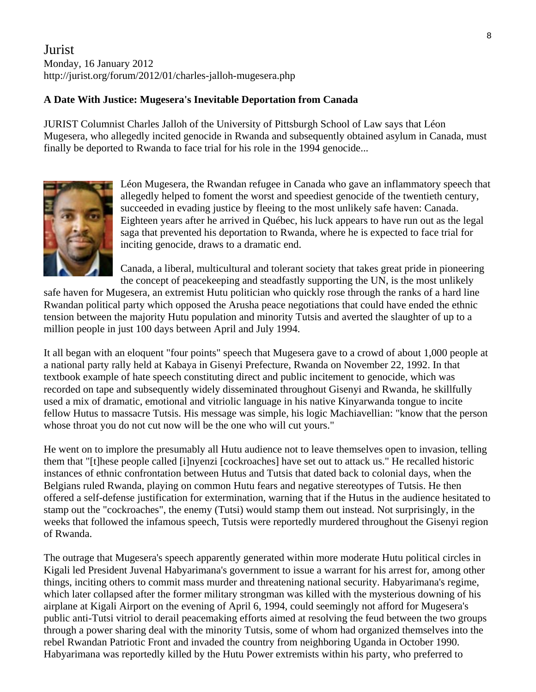## Jurist Monday, 16 January 2012 http://jurist.org/forum/2012/01/charles-jalloh-mugesera.php

#### **A Date With Justice: Mugesera's Inevitable Deportation from Canada**

JURIST Columnist Charles Jalloh of the University of Pittsburgh School of Law says that Léon Mugesera, who allegedly incited genocide in Rwanda and subsequently obtained asylum in Canada, must finally be deported to Rwanda to face trial for his role in the 1994 genocide...



Léon Mugesera, the Rwandan refugee in Canada who gave an inflammatory speech that allegedly helped to foment the worst and speediest genocide of the twentieth century, succeeded in evading justice by fleeing to the most unlikely safe haven: Canada. Eighteen years after he arrived in Québec, his luck appears to have run out as the legal saga that prevented his deportation to Rwanda, where he is expected to face trial for inciting genocide, draws to a dramatic end.

Canada, a liberal, multicultural and tolerant society that takes great pride in pioneering the concept of peacekeeping and steadfastly supporting the UN, is the most unlikely

safe haven for Mugesera, an extremist Hutu politician who quickly rose through the ranks of a hard line Rwandan political party which opposed the Arusha peace negotiations that could have ended the ethnic tension between the majority Hutu population and minority Tutsis and averted the slaughter of up to a million people in just 100 days between April and July 1994.

It all began with an eloquent "four points" speech that Mugesera gave to a crowd of about 1,000 people at a national party rally held at Kabaya in Gisenyi Prefecture, Rwanda on November 22, 1992. In that textbook example of hate speech constituting direct and public incitement to genocide, which was recorded on tape and subsequently widely disseminated throughout Gisenyi and Rwanda, he skillfully used a mix of dramatic, emotional and vitriolic language in his native Kinyarwanda tongue to incite fellow Hutus to massacre Tutsis. His message was simple, his logic Machiavellian: "know that the person whose throat you do not cut now will be the one who will cut yours."

He went on to implore the presumably all Hutu audience not to leave themselves open to invasion, telling them that "[t]hese people called [i]nyenzi [cockroaches] have set out to attack us." He recalled historic instances of ethnic confrontation between Hutus and Tutsis that dated back to colonial days, when the Belgians ruled Rwanda, playing on common Hutu fears and negative stereotypes of Tutsis. He then offered a self-defense justification for extermination, warning that if the Hutus in the audience hesitated to stamp out the "cockroaches", the enemy (Tutsi) would stamp them out instead. Not surprisingly, in the weeks that followed the infamous speech, Tutsis were reportedly murdered throughout the Gisenyi region of Rwanda.

The outrage that Mugesera's speech apparently generated within more moderate Hutu political circles in Kigali led President Juvenal Habyarimana's government to issue a warrant for his arrest for, among other things, inciting others to commit mass murder and threatening national security. Habyarimana's regime, which later collapsed after the former military strongman was killed with the mysterious downing of his airplane at Kigali Airport on the evening of April 6, 1994, could seemingly not afford for Mugesera's public anti-Tutsi vitriol to derail peacemaking efforts aimed at resolving the feud between the two groups through a power sharing deal with the minority Tutsis, some of whom had organized themselves into the rebel Rwandan Patriotic Front and invaded the country from neighboring Uganda in October 1990. Habyarimana was reportedly killed by the Hutu Power extremists within his party, who preferred to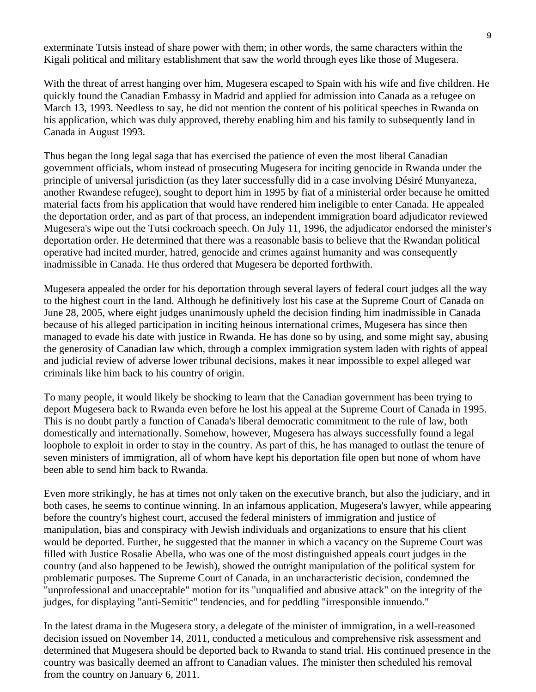exterminate Tutsis instead of share power with them; in other words, the same characters within the Kigali political and military establishment that saw the world through eyes like those of Mugesera.

With the threat of arrest hanging over him, Mugesera escaped to Spain with his wife and five children. He quickly found the Canadian Embassy in Madrid and applied for admission into Canada as a refugee on March 13, 1993. Needless to say, he did not mention the content of his political speeches in Rwanda on his application, which was duly approved, thereby enabling him and his family to subsequently land in Canada in August 1993.

Thus began the long legal saga that has exercised the patience of even the most liberal Canadian government officials, whom instead of prosecuting Mugesera for inciting genocide in Rwanda under the principle of universal jurisdiction (as they later successfully did in a case involving Désiré Munyaneza, another Rwandese refugee), sought to deport him in 1995 by fiat of a ministerial order because he omitted material facts from his application that would have rendered him ineligible to enter Canada. He appealed the deportation order, and as part of that process, an independent immigration board adjudicator reviewed Mugesera's wipe out the Tutsi cockroach speech. On July 11, 1996, the adjudicator endorsed the minister's deportation order. He determined that there was a reasonable basis to believe that the Rwandan political operative had incited murder, hatred, genocide and crimes against humanity and was consequently inadmissible in Canada. He thus ordered that Mugesera be deported forthwith.

Mugesera appealed the order for his deportation through several layers of federal court judges all the way to the highest court in the land. Although he definitively lost his case at the Supreme Court of Canada on June 28, 2005, where eight judges unanimously upheld the decision finding him inadmissible in Canada because of his alleged participation in inciting heinous international crimes, Mugesera has since then managed to evade his date with justice in Rwanda. He has done so by using, and some might say, abusing the generosity of Canadian law which, through a complex immigration system laden with rights of appeal and judicial review of adverse lower tribunal decisions, makes it near impossible to expel alleged war criminals like him back to his country of origin.

To many people, it would likely be shocking to learn that the Canadian government has been trying to deport Mugesera back to Rwanda even before he lost his appeal at the Supreme Court of Canada in 1995. This is no doubt partly a function of Canada's liberal democratic commitment to the rule of law, both domestically and internationally. Somehow, however, Mugesera has always successfully found a legal loophole to exploit in order to stay in the country. As part of this, he has managed to outlast the tenure of seven ministers of immigration, all of whom have kept his deportation file open but none of whom have been able to send him back to Rwanda.

Even more strikingly, he has at times not only taken on the executive branch, but also the judiciary, and in both cases, he seems to continue winning. In an infamous application, Mugesera's lawyer, while appearing before the country's highest court, accused the federal ministers of immigration and justice of manipulation, bias and conspiracy with Jewish individuals and organizations to ensure that his client would be deported. Further, he suggested that the manner in which a vacancy on the Supreme Court was filled with Justice Rosalie Abella, who was one of the most distinguished appeals court judges in the country (and also happened to be Jewish), showed the outright manipulation of the political system for problematic purposes. The Supreme Court of Canada, in an uncharacteristic decision, condemned the "unprofessional and unacceptable" motion for its "unqualified and abusive attack" on the integrity of the judges, for displaying "anti-Semitic" tendencies, and for peddling "irresponsible innuendo."

In the latest drama in the Mugesera story, a delegate of the minister of immigration, in a well-reasoned decision issued on November 14, 2011, conducted a meticulous and comprehensive risk assessment and determined that Mugesera should be deported back to Rwanda to stand trial. His continued presence in the country was basically deemed an affront to Canadian values. The minister then scheduled his removal from the country on January 6, 2011.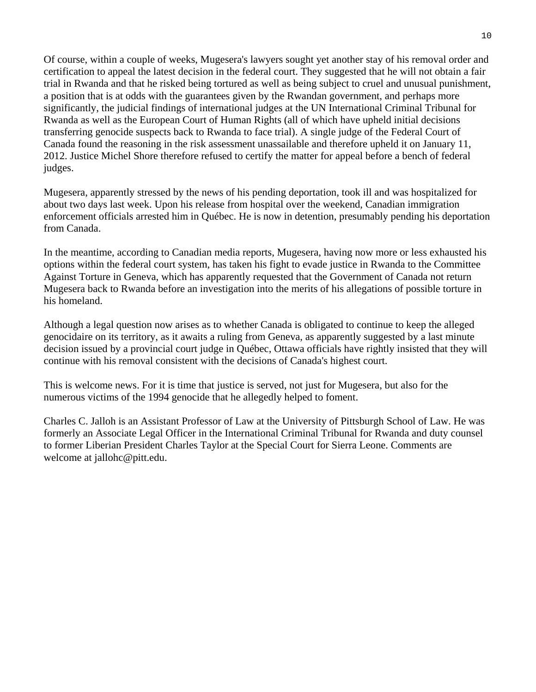Of course, within a couple of weeks, Mugesera's lawyers sought yet another stay of his removal order and certification to appeal the latest decision in the federal court. They suggested that he will not obtain a fair trial in Rwanda and that he risked being tortured as well as being subject to cruel and unusual punishment, a position that is at odds with the guarantees given by the Rwandan government, and perhaps more significantly, the judicial findings of international judges at the UN International Criminal Tribunal for Rwanda as well as the European Court of Human Rights (all of which have upheld initial decisions transferring genocide suspects back to Rwanda to face trial). A single judge of the Federal Court of Canada found the reasoning in the risk assessment unassailable and therefore upheld it on January 11, 2012. Justice Michel Shore therefore refused to certify the matter for appeal before a bench of federal judges.

Mugesera, apparently stressed by the news of his pending deportation, took ill and was hospitalized for about two days last week. Upon his release from hospital over the weekend, Canadian immigration enforcement officials arrested him in Québec. He is now in detention, presumably pending his deportation from Canada.

In the meantime, according to Canadian media reports, Mugesera, having now more or less exhausted his options within the federal court system, has taken his fight to evade justice in Rwanda to the Committee Against Torture in Geneva, which has apparently requested that the Government of Canada not return Mugesera back to Rwanda before an investigation into the merits of his allegations of possible torture in his homeland.

Although a legal question now arises as to whether Canada is obligated to continue to keep the alleged genocidaire on its territory, as it awaits a ruling from Geneva, as apparently suggested by a last minute decision issued by a provincial court judge in Québec, Ottawa officials have rightly insisted that they will continue with his removal consistent with the decisions of Canada's highest court.

This is welcome news. For it is time that justice is served, not just for Mugesera, but also for the numerous victims of the 1994 genocide that he allegedly helped to foment.

Charles C. Jalloh is an Assistant Professor of Law at the University of Pittsburgh School of Law. He was formerly an Associate Legal Officer in the International Criminal Tribunal for Rwanda and duty counsel to former Liberian President Charles Taylor at the Special Court for Sierra Leone. Comments are welcome at jallohc@pitt.edu.